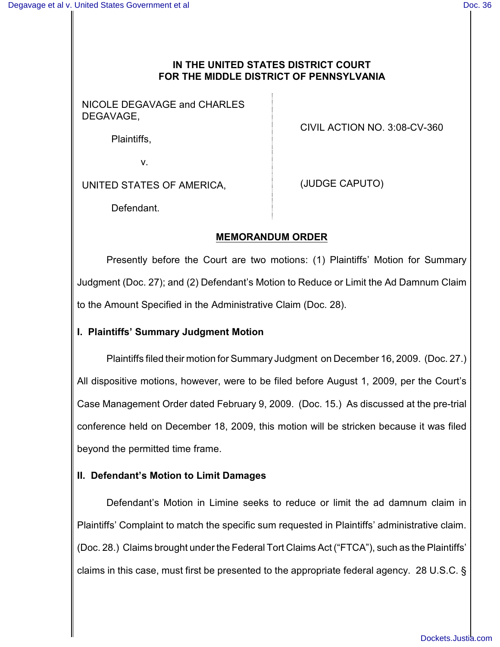## **IN THE UNITED STATES DISTRICT COURT FOR THE MIDDLE DISTRICT OF PENNSYLVANIA**

NICOLE DEGAVAGE and CHARLES DEGAVAGE,

CIVIL ACTION NO. 3:08-CV-360

Plaintiffs,

v.

UNITED STATES OF AMERICA,

(JUDGE CAPUTO)

Defendant.

## **MEMORANDUM ORDER**

Presently before the Court are two motions: (1) Plaintiffs' Motion for Summary Judgment (Doc. 27); and (2) Defendant's Motion to Reduce or Limit the Ad Damnum Claim to the Amount Specified in the Administrative Claim (Doc. 28).

## **I. Plaintiffs' Summary Judgment Motion**

Plaintiffs filed their motion for Summary Judgment on December 16, 2009. (Doc. 27.) All dispositive motions, however, were to be filed before August 1, 2009, per the Court's Case Management Order dated February 9, 2009. (Doc. 15.) As discussed at the pre-trial conference held on December 18, 2009, this motion will be stricken because it was filed beyond the permitted time frame.

## **II. Defendant's Motion to Limit Damages**

Defendant's Motion in Limine seeks to reduce or limit the ad damnum claim in Plaintiffs' Complaint to match the specific sum requested in Plaintiffs' administrative claim. (Doc. 28.) Claims brought under the Federal Tort Claims Act ("FTCA"), such as the Plaintiffs' claims in this case, must first be presented to the appropriate federal agency. 28 U.S.C. §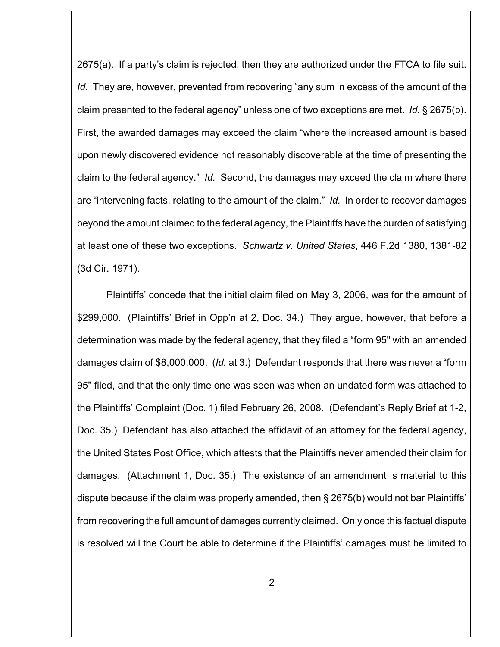2675(a). If a party's claim is rejected, then they are authorized under the FTCA to file suit. *Id.* They are, however, prevented from recovering "any sum in excess of the amount of the claim presented to the federal agency" unless one of two exceptions are met. *Id.* § 2675(b). First, the awarded damages may exceed the claim "where the increased amount is based upon newly discovered evidence not reasonably discoverable at the time of presenting the claim to the federal agency." *Id.* Second, the damages may exceed the claim where there are "intervening facts, relating to the amount of the claim." *Id.* In order to recover damages beyond the amount claimed to the federal agency, the Plaintiffs have the burden of satisfying at least one of these two exceptions. *Schwartz v. United States*, 446 F.2d 1380, 1381-82 (3d Cir. 1971).

Plaintiffs' concede that the initial claim filed on May 3, 2006, was for the amount of \$299,000. (Plaintiffs' Brief in Opp'n at 2, Doc. 34.) They argue, however, that before a determination was made by the federal agency, that they filed a "form 95" with an amended damages claim of \$8,000,000. (*Id.* at 3.) Defendant responds that there was never a "form 95" filed, and that the only time one was seen was when an undated form was attached to the Plaintiffs' Complaint (Doc. 1) filed February 26, 2008. (Defendant's Reply Brief at 1-2, Doc. 35.) Defendant has also attached the affidavit of an attorney for the federal agency, the United States Post Office, which attests that the Plaintiffs never amended their claim for damages. (Attachment 1, Doc. 35.) The existence of an amendment is material to this dispute because if the claim was properly amended, then § 2675(b) would not bar Plaintiffs' from recovering the full amount of damages currently claimed. Only once this factual dispute is resolved will the Court be able to determine if the Plaintiffs' damages must be limited to